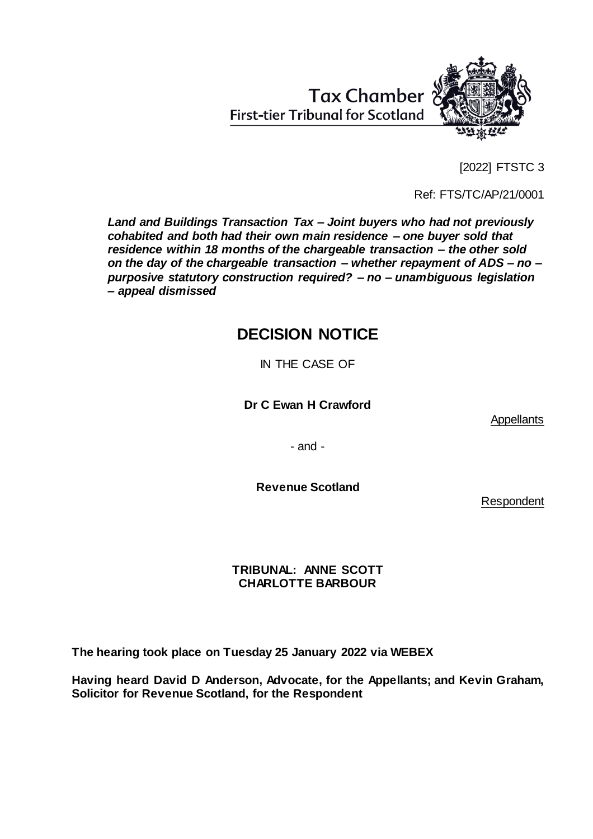[2022] FTSTC 3

Ref: FTS/TC/AP/21/0001

*Land and Buildings Transaction Tax – Joint buyers who had not previously cohabited and both had their own main residence – one buyer sold that residence within 18 months of the chargeable transaction – the other sold on the day of the chargeable transaction – whether repayment of ADS – no – purposive statutory construction required? – no – unambiguous legislation – appeal dismissed* 

# **DECISION NOTICE**

IN THE CASE OF

**Dr C Ewan H Crawford**

**Appellants** 

- and -

**Revenue Scotland**

Respondent

# **TRIBUNAL: ANNE SCOTT CHARLOTTE BARBOUR**

**The hearing took place on Tuesday 25 January 2022 via WEBEX**

**Having heard David D Anderson, Advocate, for the Appellants; and Kevin Graham, Solicitor for Revenue Scotland, for the Respondent**



**First-tier Tribunal for Scotland** 

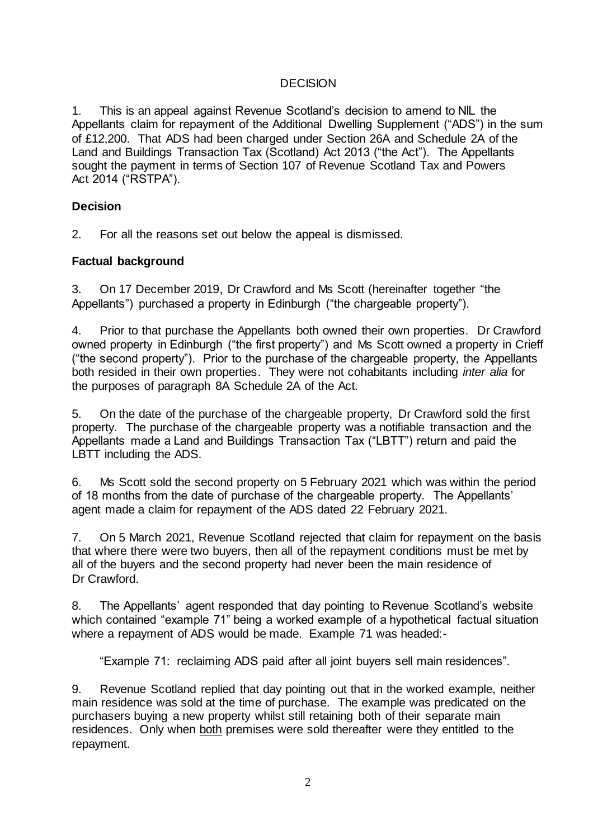## **DECISION**

1. This is an appeal against Revenue Scotland's decision to amend to NIL the Appellants claim for repayment of the Additional Dwelling Supplement ("ADS") in the sum of £12,200. That ADS had been charged under Section 26A and Schedule 2A of the Land and Buildings Transaction Tax (Scotland) Act 2013 ("the Act"). The Appellants sought the payment in terms of Section 107 of Revenue Scotland Tax and Powers Act 2014 ("RSTPA").

## **Decision**

2. For all the reasons set out below the appeal is dismissed.

## **Factual background**

3. On 17 December 2019, Dr Crawford and Ms Scott (hereinafter together "the Appellants") purchased a property in Edinburgh ("the chargeable property").

4. Prior to that purchase the Appellants both owned their own properties. Dr Crawford owned property in Edinburgh ("the first property") and Ms Scott owned a property in Crieff ("the second property"). Prior to the purchase of the chargeable property, the Appellants both resided in their own properties. They were not cohabitants including *inter alia* for the purposes of paragraph 8A Schedule 2A of the Act.

5. On the date of the purchase of the chargeable property, Dr Crawford sold the first property. The purchase of the chargeable property was a notifiable transaction and the Appellants made a Land and Buildings Transaction Tax ("LBTT") return and paid the LBTT including the ADS.

6. Ms Scott sold the second property on 5 February 2021 which was within the period of 18 months from the date of purchase of the chargeable property. The Appellants' agent made a claim for repayment of the ADS dated 22 February 2021.

7. On 5 March 2021, Revenue Scotland rejected that claim for repayment on the basis that where there were two buyers, then all of the repayment conditions must be met by all of the buyers and the second property had never been the main residence of Dr Crawford.

8. The Appellants' agent responded that day pointing to Revenue Scotland's website which contained "example 71" being a worked example of a hypothetical factual situation where a repayment of ADS would be made. Example 71 was headed:-

"Example 71: reclaiming ADS paid after all joint buyers sell main residences".

9. Revenue Scotland replied that day pointing out that in the worked example, neither main residence was sold at the time of purchase. The example was predicated on the purchasers buying a new property whilst still retaining both of their separate main residences. Only when both premises were sold thereafter were they entitled to the repayment.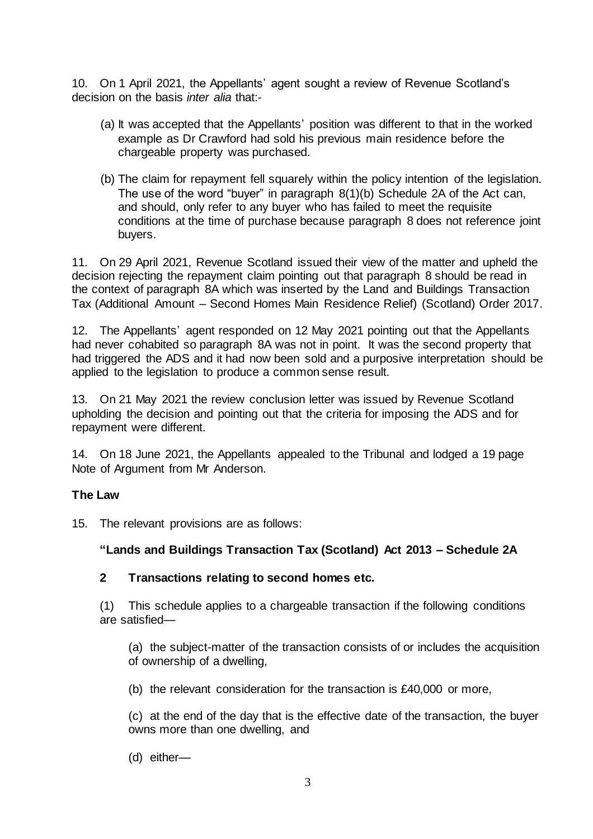10. On 1 April 2021, the Appellants' agent sought a review of Revenue Scotland's decision on the basis *inter alia* that:-

- (a) It was accepted that the Appellants' position was different to that in the worked example as Dr Crawford had sold his previous main residence before the chargeable property was purchased.
- (b) The claim for repayment fell squarely within the policy intention of the legislation. The use of the word "buyer" in paragraph 8(1)(b) Schedule 2A of the Act can, and should, only refer to any buyer who has failed to meet the requisite conditions at the time of purchase because paragraph 8 does not reference joint buyers.

11. On 29 April 2021, Revenue Scotland issued their view of the matter and upheld the decision rejecting the repayment claim pointing out that paragraph 8 should be read in the context of paragraph 8A which was inserted by the Land and Buildings Transaction Tax (Additional Amount – Second Homes Main Residence Relief) (Scotland) Order 2017.

12. The Appellants' agent responded on 12 May 2021 pointing out that the Appellants had never cohabited so paragraph 8A was not in point. It was the second property that had triggered the ADS and it had now been sold and a purposive interpretation should be applied to the legislation to produce a common sense result.

13. On 21 May 2021 the review conclusion letter was issued by Revenue Scotland upholding the decision and pointing out that the criteria for imposing the ADS and for repayment were different.

14. On 18 June 2021, the Appellants appealed to the Tribunal and lodged a 19 page Note of Argument from Mr Anderson.

## **The Law**

15. The relevant provisions are as follows:

# **"Lands and Buildings Transaction Tax (Scotland) Act 2013 – Schedule 2A**

# **2 Transactions relating to second homes etc.**

(1) This schedule applies to a chargeable transaction if the following conditions are satisfied—

(a) the subject-matter of the transaction consists of or includes the acquisition of ownership of a dwelling,

(b) the relevant consideration for the transaction is £40,000 or more,

(c) at the end of the day that is the effective date of the transaction, the buyer owns more than one dwelling, and

(d) either—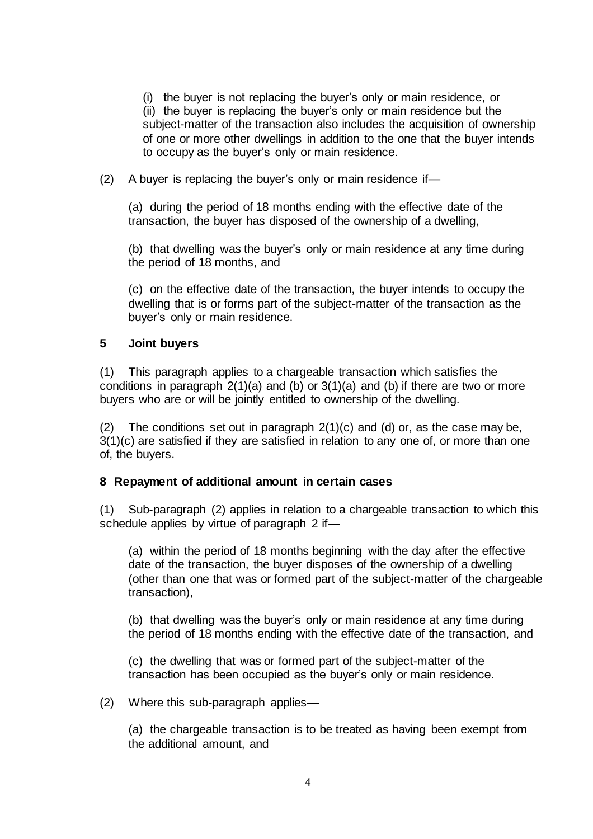(i) the buyer is not replacing the buyer's only or main residence, or (ii) the buyer is replacing the buyer's only or main residence but the subject-matter of the transaction also includes the acquisition of ownership of one or more other dwellings in addition to the one that the buyer intends to occupy as the buyer's only or main residence.

(2) A buyer is replacing the buyer's only or main residence if—

(a) during the period of 18 months ending with the effective date of the transaction, the buyer has disposed of the ownership of a dwelling,

(b) that dwelling was the buyer's only or main residence at any time during the period of 18 months, and

(c) on the effective date of the transaction, the buyer intends to occupy the dwelling that is or forms part of the subject-matter of the transaction as the buyer's only or main residence.

#### **5 Joint buyers**

(1) This paragraph applies to a chargeable transaction which satisfies the conditions in paragraph  $2(1)(a)$  and (b) or  $3(1)(a)$  and (b) if there are two or more buyers who are or will be jointly entitled to ownership of the dwelling.

(2) The conditions set out in paragraph  $2(1)(c)$  and  $(d)$  or, as the case may be, 3(1)(c) are satisfied if they are satisfied in relation to any one of, or more than one of, the buyers.

#### **8 Repayment of additional amount in certain cases**

(1) Sub-paragraph (2) applies in relation to a chargeable transaction to which this schedule applies by virtue of paragraph 2 if—

(a) within the period of 18 months beginning with the day after the effective date of the transaction, the buyer disposes of the ownership of a dwelling (other than one that was or formed part of the subject-matter of the chargeable transaction),

(b) that dwelling was the buyer's only or main residence at any time during the period of 18 months ending with the effective date of the transaction, and

(c) the dwelling that was or formed part of the subject-matter of the transaction has been occupied as the buyer's only or main residence.

(2) Where this sub-paragraph applies—

(a) the chargeable transaction is to be treated as having been exempt from the additional amount, and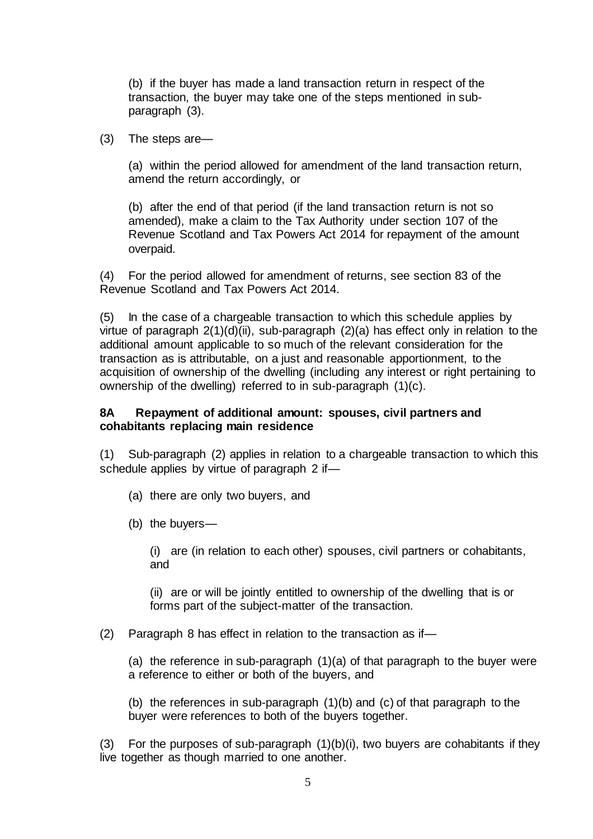(b) if the buyer has made a land transaction return in respect of the transaction, the buyer may take one of the steps mentioned in subparagraph (3).

(3) The steps are—

(a) within the period allowed for amendment of the land transaction return, amend the return accordingly, or

(b) after the end of that period (if the land transaction return is not so amended), make a claim to the Tax Authority under section 107 of the Revenue Scotland and Tax Powers Act 2014 for repayment of the amount overpaid.

(4) For the period allowed for amendment of returns, see section 83 of the Revenue Scotland and Tax Powers Act 2014.

(5) In the case of a chargeable transaction to which this schedule applies by virtue of paragraph 2(1)(d)(ii), sub-paragraph (2)(a) has effect only in relation to the additional amount applicable to so much of the relevant consideration for the transaction as is attributable, on a just and reasonable apportionment, to the acquisition of ownership of the dwelling (including any interest or right pertaining to ownership of the dwelling) referred to in sub-paragraph (1)(c).

#### **8A Repayment of additional amount: spouses, civil partners and cohabitants replacing main residence**

(1) Sub-paragraph (2) applies in relation to a chargeable transaction to which this schedule applies by virtue of paragraph 2 if—

(a) there are only two buyers, and

(b) the buyers—

(i) are (in relation to each other) spouses, civil partners or cohabitants, and

(ii) are or will be jointly entitled to ownership of the dwelling that is or forms part of the subject-matter of the transaction.

(2) Paragraph 8 has effect in relation to the transaction as if—

(a) the reference in sub-paragraph (1)(a) of that paragraph to the buyer were a reference to either or both of the buyers, and

(b) the references in sub-paragraph (1)(b) and (c) of that paragraph to the buyer were references to both of the buyers together.

(3) For the purposes of sub-paragraph (1)(b)(i), two buyers are cohabitants if they live together as though married to one another.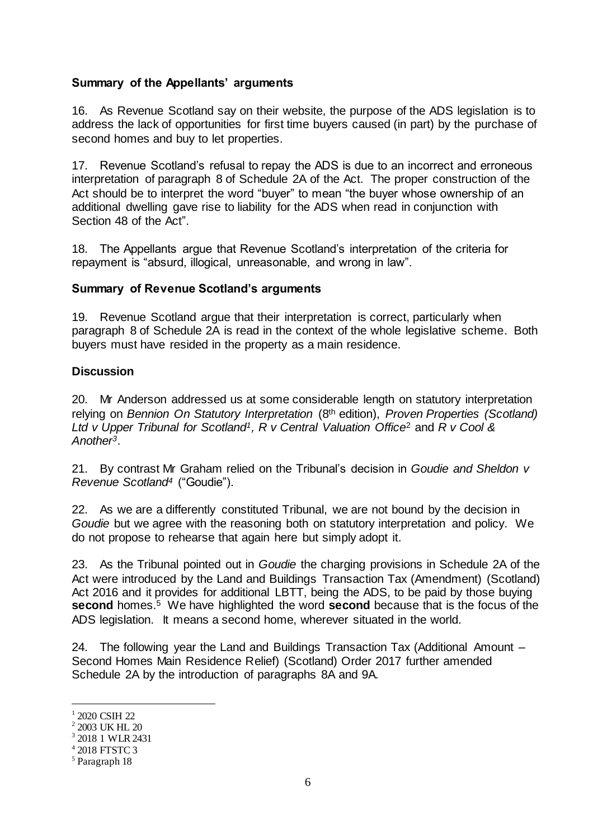## **Summary of the Appellants' arguments**

16. As Revenue Scotland say on their website, the purpose of the ADS legislation is to address the lack of opportunities for first time buyers caused (in part) by the purchase of second homes and buy to let properties.

17. Revenue Scotland's refusal to repay the ADS is due to an incorrect and erroneous interpretation of paragraph 8 of Schedule 2A of the Act. The proper construction of the Act should be to interpret the word "buyer" to mean "the buyer whose ownership of an additional dwelling gave rise to liability for the ADS when read in conjunction with Section 48 of the Act".

18. The Appellants argue that Revenue Scotland's interpretation of the criteria for repayment is "absurd, illogical, unreasonable, and wrong in law".

## **Summary of Revenue Scotland's arguments**

19. Revenue Scotland argue that their interpretation is correct, particularly when paragraph 8 of Schedule 2A is read in the context of the whole legislative scheme. Both buyers must have resided in the property as a main residence.

## **Discussion**

20. Mr Anderson addressed us at some considerable length on statutory interpretation relying on *Bennion On Statutory Interpretation* (8th edition), *Proven Properties (Scotland) Ltd v Upper Tribunal for Scotland1, R v Central Valuation Office*<sup>2</sup> and *R v Cool & Another3*.

21. By contrast Mr Graham relied on the Tribunal's decision in *Goudie and Sheldon v Revenue Scotland<sup>4</sup>* ("Goudie").

22. As we are a differently constituted Tribunal, we are not bound by the decision in *Goudie* but we agree with the reasoning both on statutory interpretation and policy. We do not propose to rehearse that again here but simply adopt it.

23. As the Tribunal pointed out in *Goudie* the charging provisions in Schedule 2A of the Act were introduced by the Land and Buildings Transaction Tax (Amendment) (Scotland) Act 2016 and it provides for additional LBTT, being the ADS, to be paid by those buying **second** homes.<sup>5</sup> We have highlighted the word **second** because that is the focus of the ADS legislation. It means a second home, wherever situated in the world.

24. The following year the Land and Buildings Transaction Tax (Additional Amount – Second Homes Main Residence Relief) (Scotland) Order 2017 further amended Schedule 2A by the introduction of paragraphs 8A and 9A.

l

<sup>1</sup> 2020 CSIH 22

<sup>2</sup> 2003 UK HL 20

<sup>3</sup> 2018 1 WLR 2431

<sup>4</sup> 2018 FTSTC 3

<sup>5</sup> Paragraph 18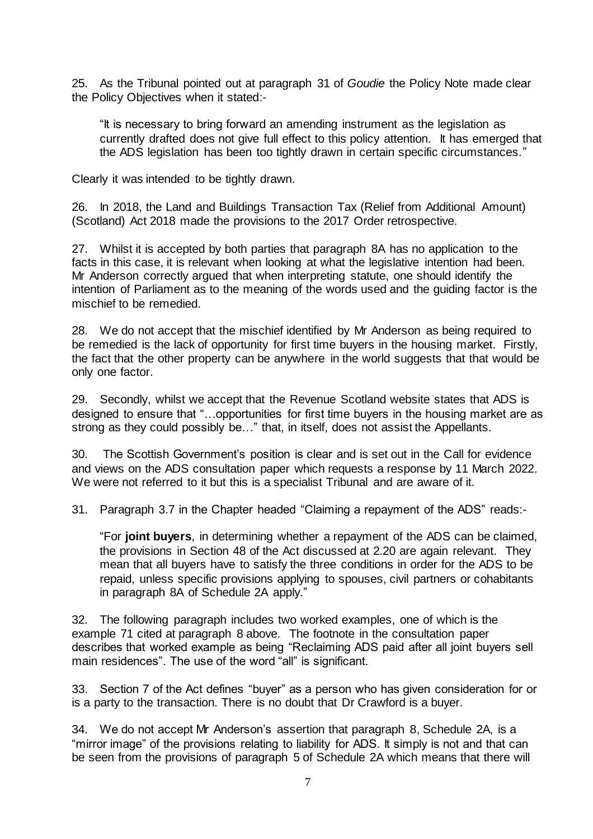25. As the Tribunal pointed out at paragraph 31 of *Goudie* the Policy Note made clear the Policy Objectives when it stated:-

"It is necessary to bring forward an amending instrument as the legislation as currently drafted does not give full effect to this policy attention. It has emerged that the ADS legislation has been too tightly drawn in certain specific circumstances."

Clearly it was intended to be tightly drawn.

26. In 2018, the Land and Buildings Transaction Tax (Relief from Additional Amount) (Scotland) Act 2018 made the provisions to the 2017 Order retrospective.

27. Whilst it is accepted by both parties that paragraph 8A has no application to the facts in this case, it is relevant when looking at what the legislative intention had been. Mr Anderson correctly argued that when interpreting statute, one should identify the intention of Parliament as to the meaning of the words used and the guiding factor is the mischief to be remedied.

28. We do not accept that the mischief identified by Mr Anderson as being required to be remedied is the lack of opportunity for first time buyers in the housing market. Firstly, the fact that the other property can be anywhere in the world suggests that that would be only one factor.

29. Secondly, whilst we accept that the Revenue Scotland website states that ADS is designed to ensure that "…opportunities for first time buyers in the housing market are as strong as they could possibly be…" that, in itself, does not assist the Appellants.

30. The Scottish Government's position is clear and is set out in the Call for evidence and views on the ADS consultation paper which requests a response by 11 March 2022. We were not referred to it but this is a specialist Tribunal and are aware of it.

31. Paragraph 3.7 in the Chapter headed "Claiming a repayment of the ADS" reads:-

"For **joint buyers**, in determining whether a repayment of the ADS can be claimed, the provisions in Section 48 of the Act discussed at 2.20 are again relevant. They mean that all buyers have to satisfy the three conditions in order for the ADS to be repaid, unless specific provisions applying to spouses, civil partners or cohabitants in paragraph 8A of Schedule 2A apply."

32. The following paragraph includes two worked examples, one of which is the example 71 cited at paragraph 8 above. The footnote in the consultation paper describes that worked example as being "Reclaiming ADS paid after all joint buyers sell main residences". The use of the word "all" is significant.

33. Section 7 of the Act defines "buyer" as a person who has given consideration for or is a party to the transaction. There is no doubt that Dr Crawford is a buyer.

34. We do not accept Mr Anderson's assertion that paragraph 8, Schedule 2A, is a "mirror image" of the provisions relating to liability for ADS. It simply is not and that can be seen from the provisions of paragraph 5 of Schedule 2A which means that there will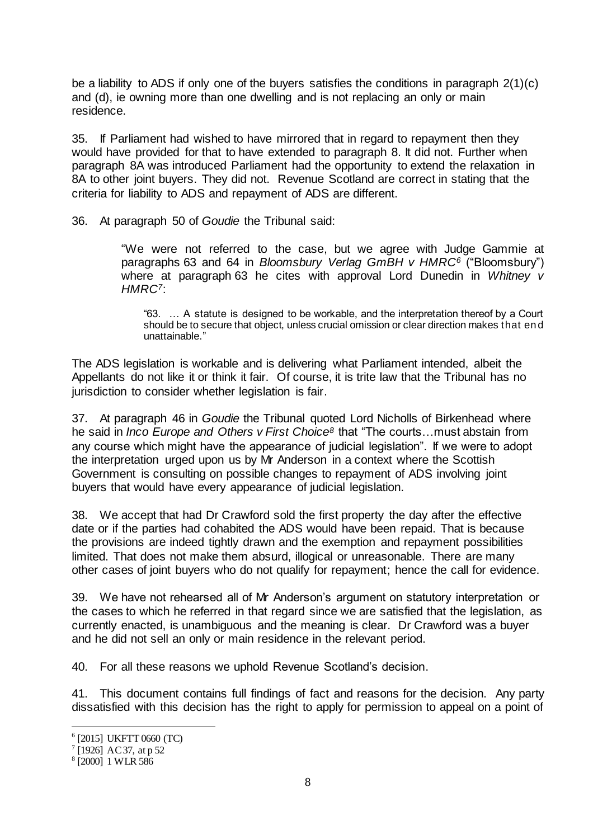be a liability to ADS if only one of the buyers satisfies the conditions in paragraph 2(1)(c) and (d), ie owning more than one dwelling and is not replacing an only or main residence.

35. If Parliament had wished to have mirrored that in regard to repayment then they would have provided for that to have extended to paragraph 8. It did not. Further when paragraph 8A was introduced Parliament had the opportunity to extend the relaxation in 8A to other joint buyers. They did not. Revenue Scotland are correct in stating that the criteria for liability to ADS and repayment of ADS are different.

36. At paragraph 50 of *Goudie* the Tribunal said:

"We were not referred to the case, but we agree with Judge Gammie at paragraphs 63 and 64 in *Bloomsbury Verlag GmBH v HMRC<sup>6</sup>* ("Bloomsbury") where at paragraph 63 he cites with approval Lord Dunedin in *Whitney v HMRC7*:

"63. … A statute is designed to be workable, and the interpretation thereof by a Court should be to secure that object, unless crucial omission or clear direction makes that en d unattainable."

The ADS legislation is workable and is delivering what Parliament intended, albeit the Appellants do not like it or think it fair. Of course, it is trite law that the Tribunal has no jurisdiction to consider whether legislation is fair.

37. At paragraph 46 in *Goudie* the Tribunal quoted Lord Nicholls of Birkenhead where he said in *Inco Europe and Others v First Choice<sup>8</sup>* that "The courts…must abstain from any course which might have the appearance of judicial legislation". If we were to adopt the interpretation urged upon us by Mr Anderson in a context where the Scottish Government is consulting on possible changes to repayment of ADS involving joint buyers that would have every appearance of judicial legislation.

38. We accept that had Dr Crawford sold the first property the day after the effective date or if the parties had cohabited the ADS would have been repaid. That is because the provisions are indeed tightly drawn and the exemption and repayment possibilities limited. That does not make them absurd, illogical or unreasonable. There are many other cases of joint buyers who do not qualify for repayment; hence the call for evidence.

39. We have not rehearsed all of Mr Anderson's argument on statutory interpretation or the cases to which he referred in that regard since we are satisfied that the legislation, as currently enacted, is unambiguous and the meaning is clear. Dr Crawford was a buyer and he did not sell an only or main residence in the relevant period.

40. For all these reasons we uphold Revenue Scotland's decision.

41. This document contains full findings of fact and reasons for the decision. Any party dissatisfied with this decision has the right to apply for permission to appeal on a point of

l

<sup>6</sup> [2015] UKFTT 0660 (TC)

<sup>&</sup>lt;sup>7</sup> [1926] AC 37, at p 52

<sup>8</sup> [2000] 1 WLR 586